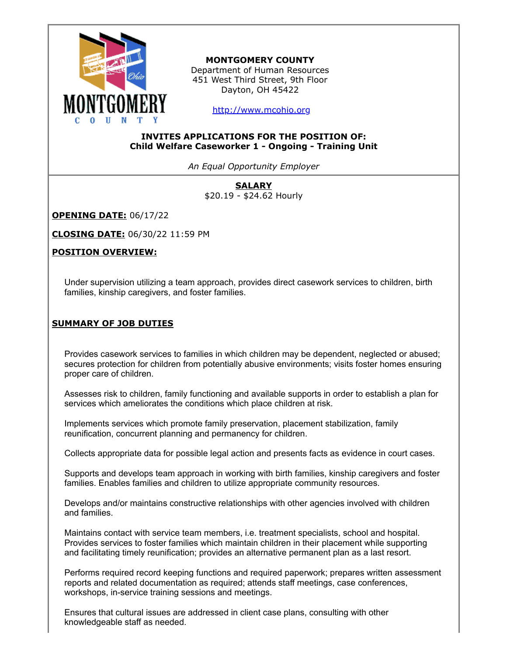

# **MONTGOMERY COUNTY**

Department of Human Resources 451 West Third Street, 9th Floor Dayton, OH 45422

[http://www.mcohio.org](http://www.mcohio.org/)

### **INVITES APPLICATIONS FOR THE POSITION OF: Child Welfare Caseworker 1 - Ongoing - Training Unit**

*An Equal Opportunity Employer*

**SALARY** \$20.19 - \$24.62 Hourly

**OPENING DATE:** 06/17/22

**CLOSING DATE:** 06/30/22 11:59 PM

# **POSITION OVERVIEW:**

Under supervision utilizing a team approach, provides direct casework services to children, birth families, kinship caregivers, and foster families.

# **SUMMARY OF JOB DUTIES**

Provides casework services to families in which children may be dependent, neglected or abused; secures protection for children from potentially abusive environments; visits foster homes ensuring proper care of children.

Assesses risk to children, family functioning and available supports in order to establish a plan for services which ameliorates the conditions which place children at risk.

Implements services which promote family preservation, placement stabilization, family reunification, concurrent planning and permanency for children.

Collects appropriate data for possible legal action and presents facts as evidence in court cases.

Supports and develops team approach in working with birth families, kinship caregivers and foster families. Enables families and children to utilize appropriate community resources.

Develops and/or maintains constructive relationships with other agencies involved with children and families.

Maintains contact with service team members, i.e. treatment specialists, school and hospital. Provides services to foster families which maintain children in their placement while supporting and facilitating timely reunification; provides an alternative permanent plan as a last resort.

Performs required record keeping functions and required paperwork; prepares written assessment reports and related documentation as required; attends staff meetings, case conferences, workshops, in-service training sessions and meetings.

Ensures that cultural issues are addressed in client case plans, consulting with other knowledgeable staff as needed.